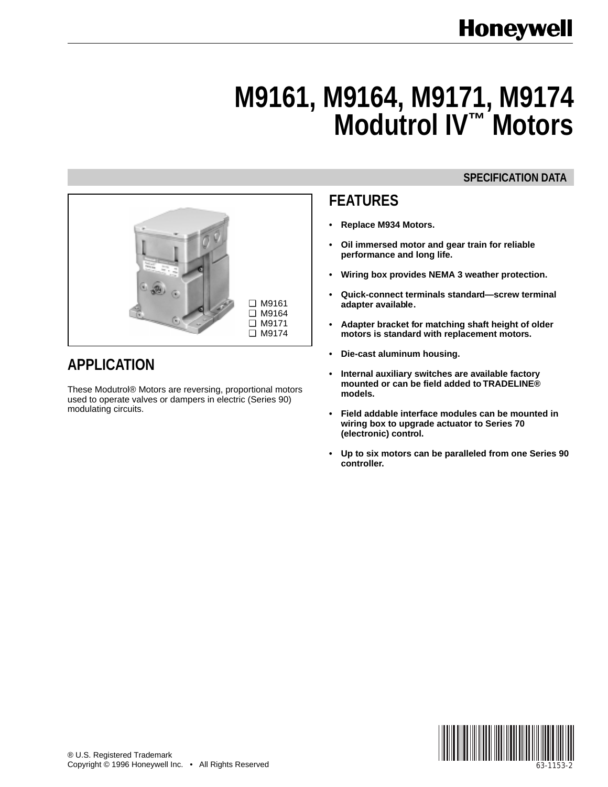# **M9161, M9164, M9171, M9174 Modutrol IV™ Motors**

# **SPECIFICATION DATA**



- **Replace M934 Motors.**
- **Oil immersed motor and gear train for reliable performance and long life.**
- **Wiring box provides NEMA 3 weather protection.**
- **Quick-connect terminals standard—screw terminal adapter available.**
- **Adapter bracket for matching shaft height of older motors is standard with replacement motors.**
- **Die-cast aluminum housing.**
- **Internal auxiliary switches are available factory mounted or can be field added to TRADELINE® models.**
- **Field addable interface modules can be mounted in wiring box to upgrade actuator to Series 70 (electronic) control.**
- **Up to six motors can be paralleled from one Series 90 controller.**





# **APPLICATION**

These Modutrol® Motors are reversing, proportional motors used to operate valves or dampers in electric (Series 90) modulating circuits.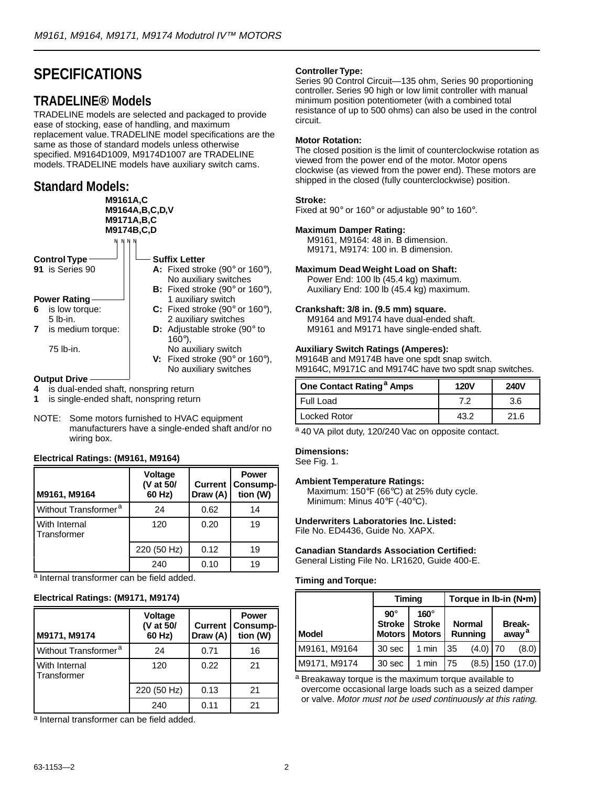# **SPECIFICATIONS**

### **TRADELINE® Models**

TRADELINE models are selected and packaged to provide ease of stocking, ease of handling, and maximum replacement value. TRADELINE model specifications are the same as those of standard models unless otherwise specified. M9164D1009, M9174D1007 are TRADELINE models. TRADELINE models have auxiliary switch cams.

# **Standard Models:**



**4** is dual-ended shaft, nonspring return

- **1** is single-ended shaft, nonspring return
- NOTE: Some motors furnished to HVAC equipment manufacturers have a single-ended shaft and/or no wiring box.

#### **Electrical Ratings: (M9161, M9164)**

| M9161, M9164                        | Voltage<br>(V at 50/<br>60 Hz) | <b>Current</b><br>Draw (A) | <b>Power</b><br>Consump-<br>tion (W) |
|-------------------------------------|--------------------------------|----------------------------|--------------------------------------|
| Without Transformer <sup>a</sup>    | 24                             | 0.62                       | 14                                   |
| <b>With Internal</b><br>Transformer | 120                            | 0.20                       | 19                                   |
|                                     | 220 (50 Hz)                    | 0.12                       | 19                                   |
|                                     | 240                            | 0.10                       | 19                                   |

a Internal transformer can be field added.

#### **Electrical Ratings: (M9171, M9174)**

| M9171, M9174                        | <b>Voltage</b><br>(V at 50/<br>60 Hz) | <b>Current</b>  <br>Draw (A) | <b>Power</b><br>Consump-<br>tion (W) |
|-------------------------------------|---------------------------------------|------------------------------|--------------------------------------|
| Without Transformer <sup>a</sup>    | 24                                    | 0.71                         | 16                                   |
| <b>With Internal</b><br>Transformer | 120                                   | 0.22                         | 21                                   |
|                                     | 220 (50 Hz)                           | 0.13                         | 21                                   |
|                                     | 240                                   | 0.11                         | 21                                   |

<sup>a</sup> Internal transformer can be field added.

#### **Controller Type:**

Series 90 Control Circuit—135 ohm, Series 90 proportioning controller. Series 90 high or low limit controller with manual minimum position potentiometer (with a combined total resistance of up to 500 ohms) can also be used in the control circuit.

#### **Motor Rotation:**

The closed position is the limit of counterclockwise rotation as viewed from the power end of the motor. Motor opens clockwise (as viewed from the power end). These motors are shipped in the closed (fully counterclockwise) position.

#### **Stroke:**

Fixed at 90° or 160° or adjustable 90° to 160°.

#### **Maximum Damper Rating:**

M9161, M9164: 48 in. B dimension. M9171, M9174: 100 in. B dimension.

#### **Maximum Dead Weight Load on Shaft:**

Power End: 100 lb (45.4 kg) maximum. Auxiliary End: 100 lb (45.4 kg) maximum.

#### **Crankshaft: 3/8 in. (9.5 mm) square.**

M9164 and M9174 have dual-ended shaft. M9161 and M9171 have single-ended shaft.

#### **Auxiliary Switch Ratings (Amperes):**

M9164B and M9174B have one spdt snap switch. M9164C, M9171C and M9174C have two spdt snap switches.

| One Contact Rating <sup>a</sup> Amps | <b>120V</b> | <b>240V</b> |  |
|--------------------------------------|-------------|-------------|--|
| Full Load                            |             | 3.6         |  |
| <b>Locked Rotor</b>                  | 13 O        | 21 R        |  |

a 40 VA pilot duty, 120/240 Vac on opposite contact.

#### **Dimensions:**

See Fig. 1.

#### **Ambient Temperature Ratings:**

Maximum: 150°F (66°C) at 25% duty cycle. Minimum: Minus 40°F (-40°C).

#### **Underwriters Laboratories Inc. Listed:**

File No. ED4436, Guide No. XAPX.

# **Canadian Standards Association Certified:**

General Listing File No. LR1620, Guide 400-E.

#### **Timing and Torque:**

|              | Timing                      |                                                        | Torque in Ib-in (N•m) |                                 |  |                                    |
|--------------|-----------------------------|--------------------------------------------------------|-----------------------|---------------------------------|--|------------------------------------|
| <b>Model</b> | $90^\circ$<br><b>Stroke</b> | $160^\circ$<br><b>Stroke</b><br><b>Motors   Motors</b> |                       | <b>Normal</b><br><b>Running</b> |  | <b>Break-</b><br>away <sup>a</sup> |
| M9161, M9164 | 30 sec                      | 1 min                                                  | 35                    | $(4.0)$ 70                      |  | (8.0)                              |
| M9171, M9174 | 30 sec                      | $1$ min                                                | 75                    |                                 |  | $(8.5)$ 150 $(17.0)$               |

a Breakaway torque is the maximum torque available to overcome occasional large loads such as a seized damper or valve. Motor must not be used continuously at this rating.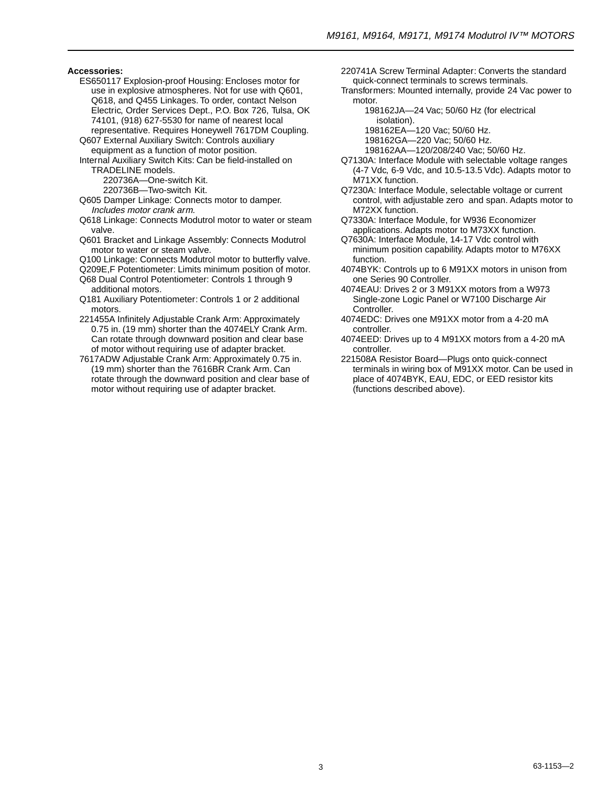**Accessories:**

- ES650117 Explosion-proof Housing: Encloses motor for use in explosive atmospheres. Not for use with Q601, Q618, and Q455 Linkages. To order, contact Nelson Electric, Order Services Dept., P.O. Box 726, Tulsa, OK 74101, (918) 627-5530 for name of nearest local
- representative. Requires Honeywell 7617DM Coupling. Q607 External Auxiliary Switch: Controls auxiliary equipment as a function of motor position.
- Internal Auxiliary Switch Kits: Can be field-installed on TRADELINE models.

220736A—One-switch Kit.

220736B—Two-switch Kit.

- Q605 Damper Linkage: Connects motor to damper. Includes motor crank arm.
- Q618 Linkage: Connects Modutrol motor to water or steam valve.
- Q601 Bracket and Linkage Assembly: Connects Modutrol motor to water or steam valve.
- Q100 Linkage: Connects Modutrol motor to butterfly valve.
- Q209E,F Potentiometer: Limits minimum position of motor. Q68 Dual Control Potentiometer: Controls 1 through 9 additional motors.
- Q181 Auxiliary Potentiometer: Controls 1 or 2 additional motors.
- 221455A Infinitely Adjustable Crank Arm: Approximately 0.75 in. (19 mm) shorter than the 4074ELY Crank Arm. Can rotate through downward position and clear base of motor without requiring use of adapter bracket.
- 7617ADW Adjustable Crank Arm: Approximately 0.75 in. (19 mm) shorter than the 7616BR Crank Arm. Can rotate through the downward position and clear base of motor without requiring use of adapter bracket.
- 220741A Screw Terminal Adapter: Converts the standard quick-connect terminals to screws terminals.
- Transformers: Mounted internally, provide 24 Vac power to motor.
	- 198162JA—24 Vac; 50/60 Hz (for electrical isolation).
	- 198162EA—120 Vac; 50/60 Hz.
	- 198162GA—220 Vac; 50/60 Hz.
	- 198162AA—120/208/240 Vac; 50/60 Hz.
- Q7130A: Interface Module with selectable voltage ranges (4-7 Vdc, 6-9 Vdc, and 10.5-13.5 Vdc). Adapts motor to M71XX function.
- Q7230A: Interface Module, selectable voltage or current control, with adjustable zero and span. Adapts motor to M72XX function.
- Q7330A: Interface Module, for W936 Economizer applications. Adapts motor to M73XX function.
- Q7630A: Interface Module, 14-17 Vdc control with minimum position capability. Adapts motor to M76XX function.
- 4074BYK: Controls up to 6 M91XX motors in unison from one Series 90 Controller.
- 4074EAU: Drives 2 or 3 M91XX motors from a W973 Single-zone Logic Panel or W7100 Discharge Air Controller.
- 4074EDC: Drives one M91XX motor from a 4-20 mA controller.
- 4074EED: Drives up to 4 M91XX motors from a 4-20 mA controller.
- 221508A Resistor Board—Plugs onto quick-connect terminals in wiring box of M91XX motor. Can be used in place of 4074BYK, EAU, EDC, or EED resistor kits (functions described above).